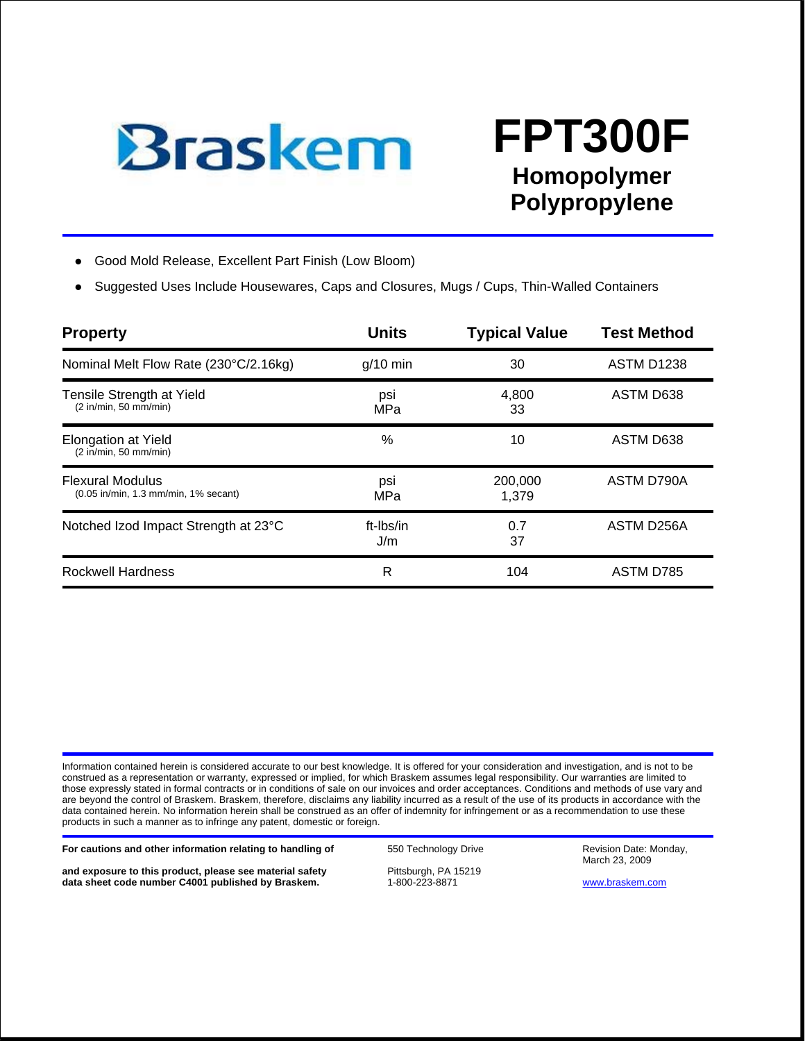

## **FPT300F Homopolymer Polypropylene**

- Good Mold Release, Excellent Part Finish (Low Bloom)
- Suggested Uses Include Housewares, Caps and Closures, Mugs / Cups, Thin-Walled Containers

| <b>Property</b>                                                 | <b>Units</b>     | <b>Typical Value</b> | <b>Test Method</b> |  |  |
|-----------------------------------------------------------------|------------------|----------------------|--------------------|--|--|
| Nominal Melt Flow Rate (230°C/2.16kg)                           | $g/10$ min       | 30                   | <b>ASTM D1238</b>  |  |  |
| Tensile Strength at Yield<br>(2 in/min, 50 mm/min)              | psi<br>MPa       | 4,800<br>33          | ASTM D638          |  |  |
| <b>Elongation at Yield</b><br>(2 in/min, 50 mm/min)             | $\%$             | 10                   | ASTM D638          |  |  |
| <b>Flexural Modulus</b><br>(0.05 in/min, 1.3 mm/min, 1% secant) | psi<br>MPa       | 200,000<br>1,379     | ASTM D790A         |  |  |
| Notched Izod Impact Strength at 23°C                            | ft-Ibs/in<br>J/m | 0.7<br>37            | ASTM D256A         |  |  |
| <b>Rockwell Hardness</b>                                        | R                | 104                  | <b>ASTM D785</b>   |  |  |

Information contained herein is considered accurate to our best knowledge. It is offered for your consideration and investigation, and is not to be construed as a representation or warranty, expressed or implied, for which Braskem assumes legal responsibility. Our warranties are limited to those expressly stated in formal contracts or in conditions of sale on our invoices and order acceptances. Conditions and methods of use vary and are beyond the control of Braskem. Braskem, therefore, disclaims any liability incurred as a result of the use of its products in accordance with the data contained herein. No information herein shall be construed as an offer of indemnity for infringement or as a recommendation to use these products in such a manner as to infringe any patent, domestic or foreign.

For cautions and other information relating to handling of **550 Technology Drive** Revision Date: Monday,

**and exposure to this product, please see material safety** Pittsburgh, PA 15219<br> **data sheet code number C4001 published by Braskem.** 1-800-223-8871 data sheet code number C4001 published by Braskem. **1-800-223-8871** WWW.braskem.com

March 23, 2009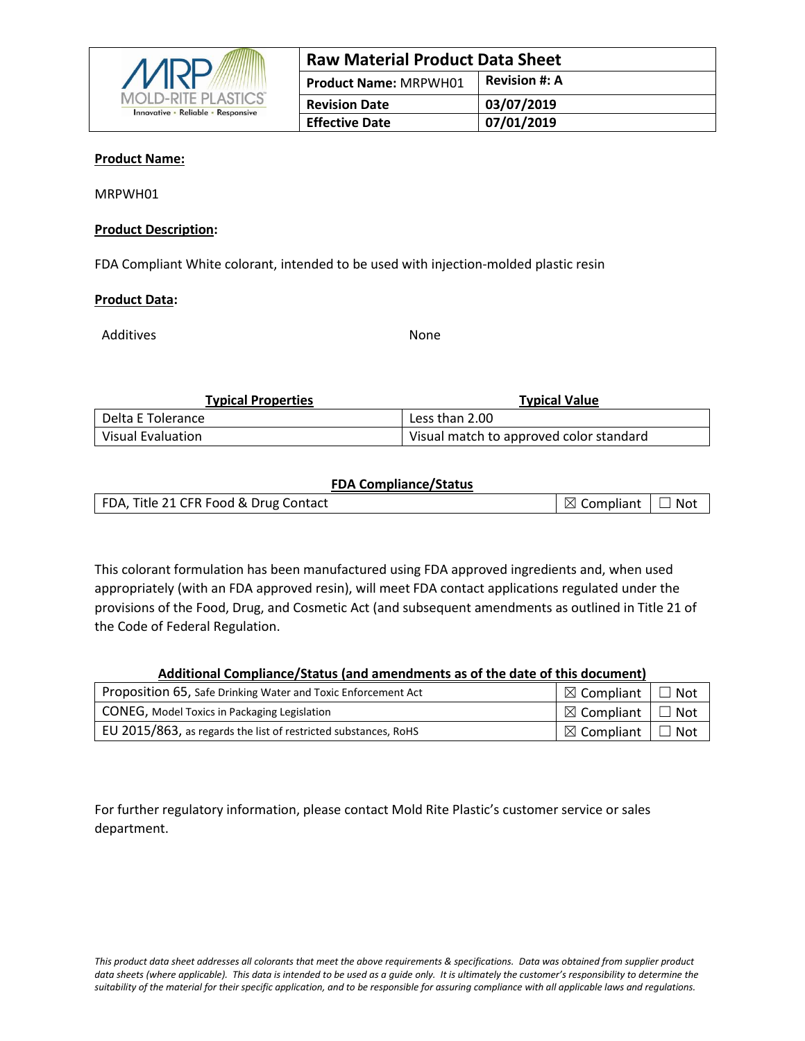

| <b>Raw Material Product Data Sheet</b> |                      |  |
|----------------------------------------|----------------------|--|
| <b>Product Name: MRPWH01</b>           | <b>Revision #: A</b> |  |
| <b>Revision Date</b>                   | 03/07/2019           |  |
| <b>Effective Date</b>                  | 07/01/2019           |  |

#### **Product Name:**

MRPWH01

#### **Product Description:**

FDA Compliant White colorant, intended to be used with injection-molded plastic resin

#### **Product Data:**

Additives and the state of the None

| <b>Typical Properties</b> | <b>Typical Value</b>                    |  |  |  |
|---------------------------|-----------------------------------------|--|--|--|
| Delta E Tolerance         | Less than 2.00                          |  |  |  |
| Visual Evaluation         | Visual match to approved color standard |  |  |  |

#### **FDA Compliance/Status**

| FDA, Title 21 CFR Food & Drug Contact | $\mid \boxtimes$ Compliant $\mid \square$ Not |  |
|---------------------------------------|-----------------------------------------------|--|
|                                       |                                               |  |

This colorant formulation has been manufactured using FDA approved ingredients and, when used appropriately (with an FDA approved resin), will meet FDA contact applications regulated under the provisions of the Food, Drug, and Cosmetic Act (and subsequent amendments as outlined in Title 21 of the Code of Federal Regulation.

#### **Additional Compliance/Status (and amendments as of the date of this document)**

| Proposition 65, Safe Drinking Water and Toxic Enforcement Act   | $\boxtimes$ Compliant             | ™ Not      |
|-----------------------------------------------------------------|-----------------------------------|------------|
| CONEG, Model Toxics in Packaging Legislation                    | $\boxtimes$ Compliant   $\square$ | $\Box$ Not |
| EU 2015/863, as regards the list of restricted substances, RoHS | $\boxtimes$ Compliant             | ' Not      |

For further regulatory information, please contact Mold Rite Plastic's customer service or sales department.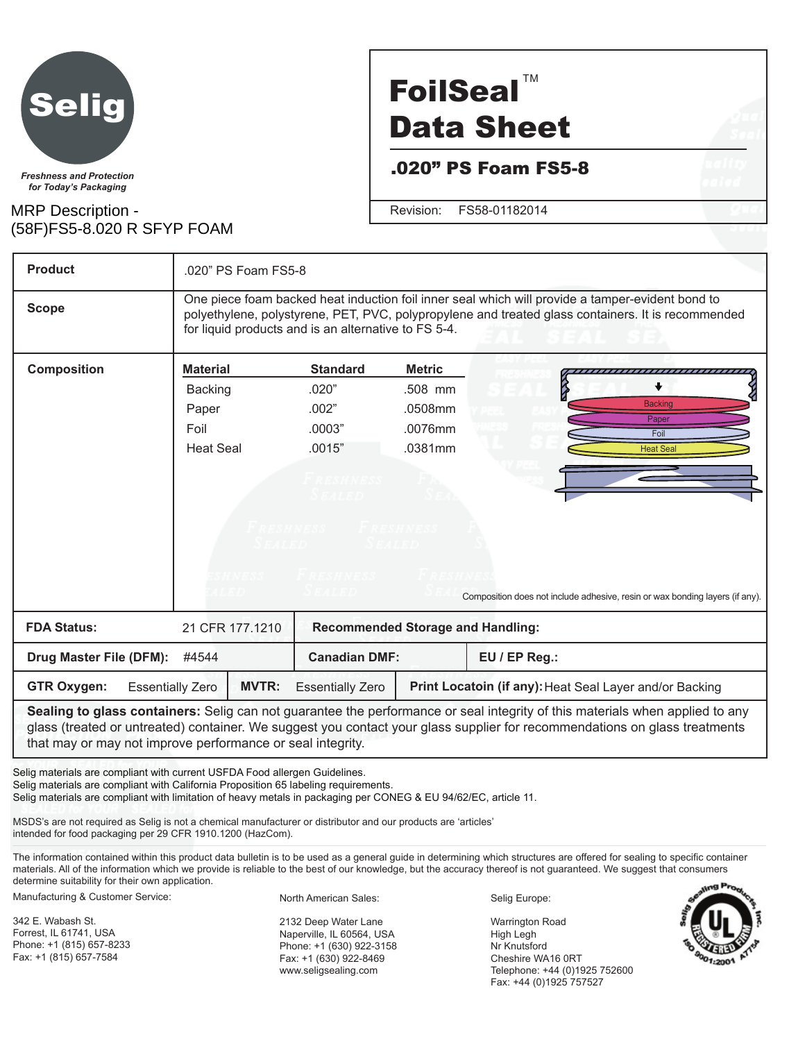

*for Today's Packaging*

### MRP Description - (58F)FS5-8.020 R SFYP FOAM

# **FoilSeal™** Data Sheet

.020" PS Foam FS5-8

Revision: FS58-01182014

**Product** .020" PS Foam FS5-8 One piece foam backed heat induction foil inner seal which will provide a tamper-evident bond to **Scope** polyethylene, polystyrene, PET, PVC, polypropylene and treated glass containers. It is recommended for liquid products and is an alternative to FS 5-4. **Composition Material Standard Metric** <del>,,,,,,,,,,,,,,,,,,,,,,</del>  $\ddot{\bullet}$ Backing .020" .508 mm **Backing** Paper .002" .0508mm Paper Foil .0003" .0076mm Foi Heat Seal .0015" .0381mm Heat Seal Composition does not include adhesive, resin or wax bonding layers (if any).

| <b>FDA Status:</b>               |                         | 21 CFR 177.1210      | <b>Recommended Storage and Handling:</b> |                                                         |  |  |
|----------------------------------|-------------------------|----------------------|------------------------------------------|---------------------------------------------------------|--|--|
| Drug Master File (DFM):<br>#4544 |                         | <b>Canadian DMF:</b> |                                          | $EU$ / EP Reg.:                                         |  |  |
| GTR Oxygen:                      | <b>Essentially Zero</b> | <b>MVTR:</b>         | <b>Essentially Zero</b>                  | Print Locatoin (if any): Heat Seal Layer and/or Backing |  |  |

**Sealing to glass containers:** Selig can not guarantee the performance or seal integrity of this materials when applied to any glass (treated or untreated) container. We suggest you contact your glass supplier for recommendations on glass treatments that may or may not improve performance or seal integrity.

Selig materials are compliant with current USFDA Food allergen Guidelines. Selig materials are compliant with California Proposition 65 labeling requirements. Selig materials are compliant with limitation of heavy metals in packaging per CONEG & EU 94/62/EC, article 11.

MSDS's are not required as Selig is not a chemical manufacturer or distributor and our products are 'articles' intended for food packaging per 29 CFR 1910.1200 (HazCom).

The information contained within this product data bulletin is to be used as a general guide in determining which structures are offered for sealing to specific container materials. All of the information which we provide is reliable to the best of our knowledge, but the accuracy thereof is not guaranteed. We suggest that consumers determine suitability for their own application.

Manufacturing & Customer Service:

342 E. Wabash St. Forrest, IL 61741, USA Phone: +1 (815) 657-8233 Fax: +1 (815) 657-7584

North American Sales:

2132 Deep Water Lane Naperville, IL 60564, USA Phone: +1 (630) 922-3158 Fax: +1 (630) 922-8469 www.seligsealing.com

Selig Europe:

Warrington Road High Legh Nr Knutsford Cheshire WA16 0RT Telephone: +44 (0)1925 752600 Fax: +44 (0)1925 757527

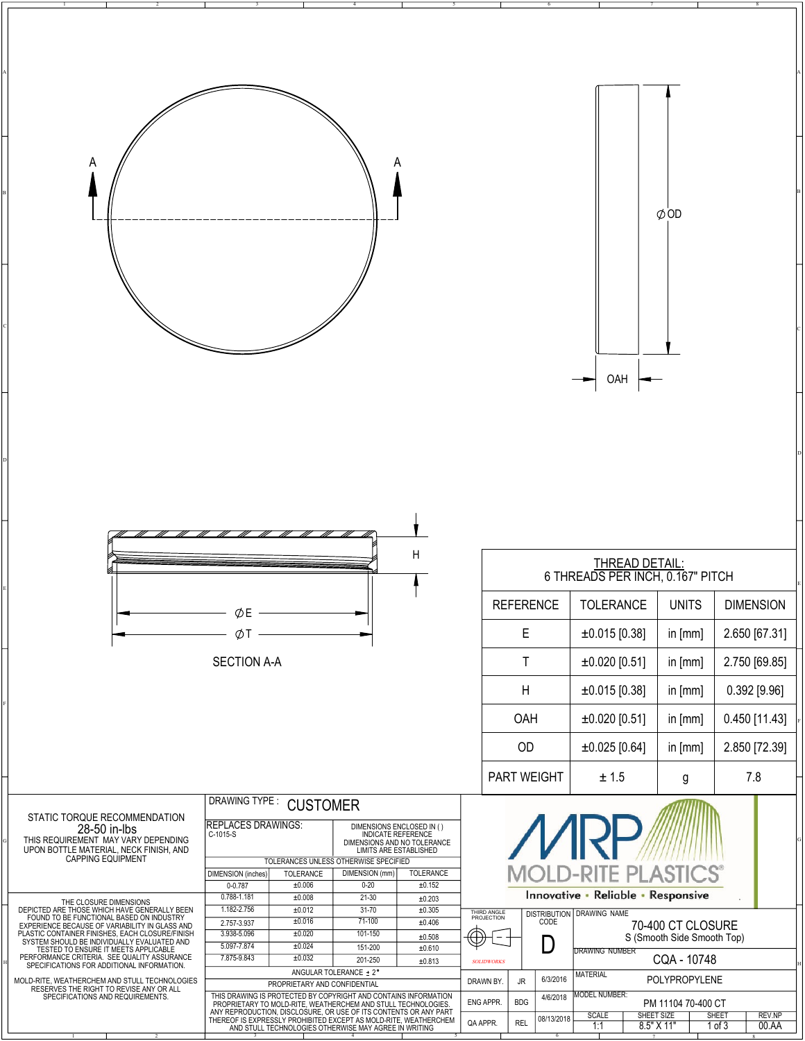| A                                                                                                                                                                                                                                                                      | A                                                                                                                                                                                                                                                                                                |                                      |                                                          |                                                                |                                                 |                                     |
|------------------------------------------------------------------------------------------------------------------------------------------------------------------------------------------------------------------------------------------------------------------------|--------------------------------------------------------------------------------------------------------------------------------------------------------------------------------------------------------------------------------------------------------------------------------------------------|--------------------------------------|----------------------------------------------------------|----------------------------------------------------------------|-------------------------------------------------|-------------------------------------|
|                                                                                                                                                                                                                                                                        |                                                                                                                                                                                                                                                                                                  |                                      |                                                          |                                                                | $\phi$ OD                                       |                                     |
|                                                                                                                                                                                                                                                                        |                                                                                                                                                                                                                                                                                                  |                                      |                                                          |                                                                |                                                 |                                     |
|                                                                                                                                                                                                                                                                        |                                                                                                                                                                                                                                                                                                  |                                      |                                                          | OAH                                                            |                                                 |                                     |
|                                                                                                                                                                                                                                                                        |                                                                                                                                                                                                                                                                                                  |                                      |                                                          |                                                                |                                                 |                                     |
|                                                                                                                                                                                                                                                                        |                                                                                                                                                                                                                                                                                                  |                                      |                                                          |                                                                |                                                 |                                     |
|                                                                                                                                                                                                                                                                        |                                                                                                                                                                                                                                                                                                  | Н                                    |                                                          | THREAD DETAIL:<br>6 THREADS PER INCH, 0.167" PITCH             |                                                 |                                     |
|                                                                                                                                                                                                                                                                        | ØE                                                                                                                                                                                                                                                                                               |                                      | <b>REFERENCE</b>                                         | <b>TOLERANCE</b>                                               | <b>UNITS</b>                                    | <b>DIMENSION</b>                    |
|                                                                                                                                                                                                                                                                        | ØΤ                                                                                                                                                                                                                                                                                               |                                      | E                                                        | $±0.015$ [0.38]                                                | in [mm]                                         | 2.650 [67.31]                       |
|                                                                                                                                                                                                                                                                        | <b>SECTION A-A</b>                                                                                                                                                                                                                                                                               |                                      | Τ                                                        | $±0.020$ [0.51]                                                | in [mm]                                         | 2.750 [69.85]                       |
|                                                                                                                                                                                                                                                                        |                                                                                                                                                                                                                                                                                                  |                                      | H<br>OAH                                                 | $±0.015$ [0.38]<br>$±0.020$ [0.51]                             | in [mm]                                         | $0.392$ [ $9.96$ ]<br>0.450 [11.43] |
|                                                                                                                                                                                                                                                                        |                                                                                                                                                                                                                                                                                                  |                                      | OD                                                       | $±0.025$ [0.64]                                                | in [mm]<br>in [mm]                              | 2.850 [72.39]                       |
|                                                                                                                                                                                                                                                                        |                                                                                                                                                                                                                                                                                                  |                                      | PART WEIGHT                                              | ± 1.5                                                          | g                                               | 7.8                                 |
| STATIC TORQUE RECOMMENDATION<br>28-50 in-lbs                                                                                                                                                                                                                           | DRAWING TYPE:<br><b>CUSTOMER</b><br><b>REPLACES DRAWINGS:</b><br>DIMENSIONS ENCLOSED IN ()<br>C-1015-S                                                                                                                                                                                           |                                      |                                                          |                                                                |                                                 |                                     |
| THIS REQUIREMENT MAY VARY DEPENDING<br>UPON BOTTLE MATERIAL, NECK FINISH, AND<br><b>CAPPING EQUIPMENT</b>                                                                                                                                                              | INDICATE REFERENCE<br>DIMENSIONS AND NO TOLERANCE<br>LIMITS ARE ESTABLISHED<br>TOLERANCES UNLESS OTHERWISE SPECIFIED<br>DIMENSION (mm)<br><b>DIMENSION</b> (inches)<br><b>TOLERANCE</b><br>±0.006<br>$0 - 0.787$<br>$0 - 20$<br>0.788-1.181<br>±0.008<br>$21 - 30$                               | TOLERANCE<br>$\pm 0.152$<br>±0.203   |                                                          | <b>MOLD-RITE PLASTIC</b><br>Innovative · Reliable · Responsive |                                                 |                                     |
| THE CLOSURE DIMENSIONS<br>DEPICTED ARE THOSE WHICH HAVE GENERALLY BEEN<br>FOUND TO BE FUNCTIONAL BASED ON INDUSTRY<br>EXPERIENCE BECAUSE OF VARIABILITY IN GLASS AND<br>PLASTIC CONTAINER FINISHES, EACH CLOSURE/FINISH<br>SYSTEM SHOULD BE INDIVIDUALLY EVALUATED AND | 1.182-2.756<br>$31 - 70$<br>±0.012<br>$71-100$<br>±0.016<br>2.757-3.937<br>101-150<br>3.938-5.096<br>±0.020                                                                                                                                                                                      | $\pm 0.305$<br>±0.406<br>$\pm 0.508$ | THIRD ANGLE<br>PROJECTION<br>CODE<br>₩                   | DISTRIBUTION DRAWING NAME                                      | 70-400 CT CLOSURE<br>S (Smooth Side Smooth Top) |                                     |
| TESTED TO ENSURE IT MEETS APPLICABLE<br>PERFORMANCE CRITERIA. SEE QUALITY ASSURANCE<br>SPECIFICATIONS FOR ADDITIONAL INFORMATION.                                                                                                                                      | 5.097-7.874<br>±0.024<br>151-200<br>7.875-9.843<br>±0.032<br>201-250                                                                                                                                                                                                                             | $\pm 0.610$<br>±0.813                | $\Box$<br><b>SOLIDWORKS</b>                              | DRAWING NUMBER                                                 | CQA - 10748                                     |                                     |
| MOLD-RITE, WEATHERCHEM AND STULL TECHNOLOGIES<br>RESERVES THE RIGHT TO REVISE ANY OR ALL<br>SPECIFICATIONS AND REQUIREMENTS.                                                                                                                                           | ANGULAR TOLERANCE ± 2°<br>PROPRIETARY AND CONFIDENTIAL                                                                                                                                                                                                                                           |                                      | 6/3/2016<br>DRAWN BY.<br>JR<br>4/6/2018                  | <b>MATERIAL</b><br><b>MODEL NUMBER:</b>                        | POLYPROPYLENE                                   |                                     |
|                                                                                                                                                                                                                                                                        | THIS DRAWING IS PROTECTED BY COPYRIGHT AND CONTAINS INFORMATION<br>PROPRIETARY TO MOLD-RITE, WEATHERCHEM AND STULL TECHNOLOGIES.<br>ANY REPRODUCTION, DISCLOSURE, OR USE OF ITS CONTENTS OR ANY PART<br>THEREOF IS EXPRESSLY PROHIBITED<br>AND STULL TECHNOLOGIES OTHERWISE MAY AGREE IN WRITING |                                      | ENG APPR.<br><b>BDG</b><br>08/13/2018<br>QA APPR.<br>REL | <b>SCALE</b><br>1:1                                            | PM 11104 70-400 CT<br>SHEET SIZE<br>8.5" X 11"  | SHEET<br>REV.NP<br>1 of 3<br>00.AA  |

2 3 4 5 6 7 8

1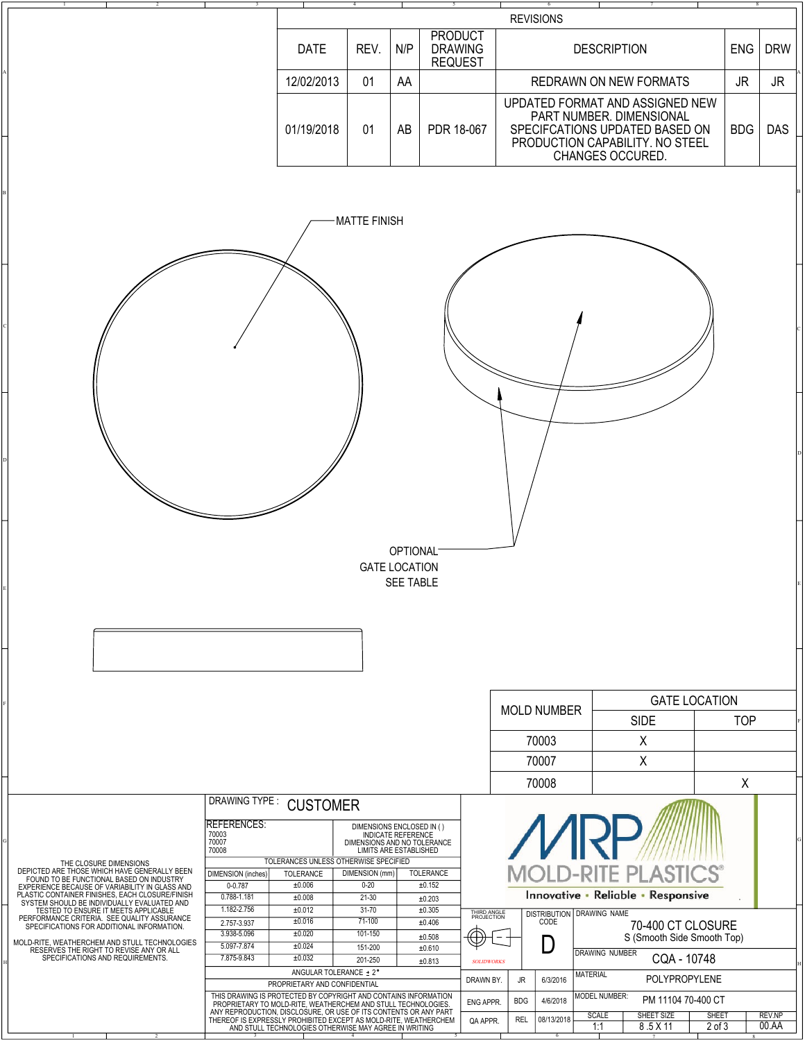